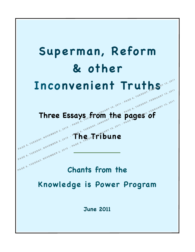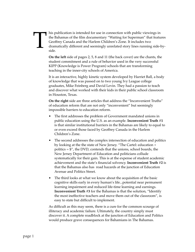# T

his publication is intended for use in connection with public viewings in the Bahamas of the film documentary "Waiting for Superman" that features Geoffrey Canada and the Harlem Children's Zone. It includes two dramatically different and seemingly unrelated story lines running side-byside.

**On the left** side of pages 2, 5, 8 and 11 (the back cover) are the chants, the student commitment and a rule of behavior used in the very successful KIPP (Knowledge is Power Program) schools that are transforming teaching in the inner-city schools of America.

It is an interactive, highly kinetic system developed by Harriet Ball, a body of knowledge that was passed on to two young Ivy League college graduates, Mike Feinberg and David Levin. They had a passion to teach and discover what worked with their kids in their public school classroom in Houston, Texas.

**On the right** side are three articles that address the "Inconvenient Truths" of education reform that are not only "inconvenient" but seemingly impossible barriers to education reform.

- The first addresses the problem of Government mandated unions in public education using the U.S. as an example. **Inconvenient Truth #1** is that similar institutional barriers in the Bahamas are likely to equal to or even exceed those faced by Geoffrey Canada in the Harlem Children's Zone.
- The second addresses the complex intersection of education and politics by looking at the the state of New Jersey. "The Cartel: education + politics = \$", the DVD, contends that the unions, school boards, the New Jersey Department of Education and politicians collude systematically for their gain. This is at the expense of student academic achievement and the state's financial solvency. **Inconvenient Truth #2** is that the Bahamas also has road hazards at the junction of Education Avenue and Politics Street.
- The third looks at what we know about the acquisition of the basic cognitive skills early in every human's life...potential near permanent learning impairment and reduced life-time learning and earnings. **Inconvenient Truth #3** for the Bahamas is that the solution, "Identify the most ineffective teachers and move them out of the classroom", is easy to state but difficult to implement.

As difficult as this may seem, there is a cure for the common scourge of illiteracy and academic failure. Ultimately, the country simply must discover it. A complete roadblock at the junction of Education and Politics would produce grave consequences for Bahamians in The Bahamas.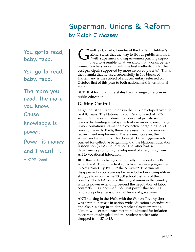Superman, Unions & Reform by Ralph J Massey

You gotta read, baby, read.

You gotta read, baby, read.

The more you read, the more you know. Cause

knowledge is

power.

Power is money

and I want it.

A KIPP Chant

**T** eoffrey Canada, founder of the Harlem Children's Zone, states that the way to fix our public schools is "with supermen and superwomen pushing superhard to assemble what we know that works: bettertrained teachers working with the best methods under the best principals supported by more involved parents". That's the formula that he used successfully in 100 blocks of Harlem and is the subject of a documentary released on October first of this year to both national and international acclaim. G

BUT...that formula understates the challenge of reform in public education.

#### **Getting Control**

Large industrial trade unions in the U. S. developed over the past 80 years. The National Labor Relations Act of 1935 supported the establishment of powerful private sector unions by limiting employer activity in order to encourage union formation and mandate collective bargaining. And prior to the early 1960s, there were essentially no unions in Government employment. There were, however, the American Federation of Teachers (AFT) that aggressively pushed for collective bargaining and the National Education Association (NEA) that did not. The latter had 32 departments promoting development of everything from Art to Vocational Education.

**BUT** this picture change dramatically in the early 1960s when the AFT won the first collective bargaining agreement in New York City. By 1972 the NEA's 32 departments disappeared as both unions became locked in a competitive struggle to unionize the 13,000 school districts of the country. The NEA became the largest union in the country with its power extending beyond the negotiation of labor contracts. It is a dominant political power that secures favorable policy decisions at all levels of government.

**AND** starting in the 1960s with the War on Poverty there was a rapid increase in nation-wide education expenditures and also a a drop in student/teacher classroom ratios. Nation-wide expenditures per pupil adjusted for inflation more than quadrupled and the student teacher ratio dropped from 27 to 18.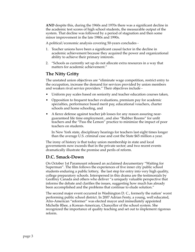**AND** despite this, during the 1960s and 1970s there was a significant decline in the academic test scores of high school students, the measurable output of the system. That decline was followed by a period of stagnation and then some minor improvement in the late 1980s and 1990s.

A political/economic analysis covering 50-years concludes -

- 1. Teacher unions have been a significant causal factor in the decline in academic achievement because they acquired the power and organizational ability to achieve their primary interests.
- 2. "Schools as currently set up do not allocate extra resources in a way that matters for academic achievement."

#### **The Nitty Gritty**

The unstated union objectives are "eliminate wage competition, restrict entry to the occupation, increase the demand for services provided by union members and weaken rival service providers." Their objectives include -

- Uniform pay scales based on seniority and teacher education courses taken,
- Opposition to frequent teacher evaluations, premium pay for academic specialties, performance based merit pay, educational vouchers, charter schools and home schooling, and
- A fierce defense against teacher job losses for any reason assuring nearguaranteed life time employment...and also "Rubber Rooms" for unfit teachers and the "Pass the Lemon" practice to minimize the impact of poor teachers on students.

In New York state, disciplinary hearings for teachers last eight times longer than the average U.S. criminal case and cost the State \$65 million a year.

The irony of history is that today union membership in state and local governments now exceeds that in the private sector; and two recent events dramatically illustrate the promise and perils of reform.

#### **D.C. Smack-Down**

On October 1st Paramount released an acclaimed documentary "Waiting for Superman". The film follows the experiences of five inner city public school students enduring a public lottery, the last step for entry into very high quality, college preparatory schools. Interspersed in this drama are the testimonials by Geoffrey Canada and others who deliver "a uniquely valuable perspective that informs the debate and clarifies the issues, suggesting how much has already been accomplished and the problems that continue to elude solution."

The second major event occurred in Washington D. C., formerly the nation' worst performing public school district. In 2007 Adrian Fenty, a young, well educated, Afro-American "reformer" was elected mayor and immediately appointed Michelle Rhee, a Korean-American, Chancellor of the school system. She recognized the importance of quality teaching and set out to implement rigorous reform.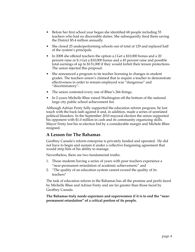- Before her first school year began she identified 68 people including 55 teachers who had no discernible duties. She subsequently fired them saving the District \$5.4 million annually.
- She closed 25 underperforming schools out of total of 129 and replaced half of the system's principals.
- In 2008 she offered teachers the option a.) Get a \$10,000 bonus and a 20 percent raise or b.) Get a \$10,000 bonus and a 45 percent raise and possible total earnings of up to \$131,000 if they would forfeit their tenure protections. The union rejected this proposal.
- She announced a program to tie teacher licensing to changes in student grades. The teachers union's claimed that to require a teacher to demonstrate effectiveness in order to remain employed was "dangerous" and "discriminatory".
- The union contested every one of Rhee's 266 firings.
- In 2-years Michelle Rhee raised Washington off the bottom of the national large city public school achievement list.

Although Adrian Fenty fully supported the education reform program, he lost touch with the back-lash against it and, in addition, made a series of unrelated political blunders. In the September 2010 mayoral election the union supported his opponent with \$1.0 million in cash and its community organizing skills. Mayor Fenty lost his re-election bid by a considerable margin and Michele Rhee resigned.

#### **A Lesson for The Bahamas**

Geoffrey Canada's reform enterprise is privately funded and operated. He did not have to begin and sustain it under a collective bargaining agreement that would strip him of his ability to manage.

Nevertheless, there are two fundamental truths:

- 1. Those students having a series of years with poor teachers experience a "near-permanent retardation of academic achievement;" and
- 2. "The quality of an education system cannot exceed the quality of its teachers"

The task of education reform in the Bahamas has all the promise and perils faced by Michelle Rhee and Adrian Fenty and are far greater than those faced by Geoffrey Canada.

**The Bahamas truly needs supermen and superwomen if it is to end the "nearpermanent retardation" of a critical portion of its people.**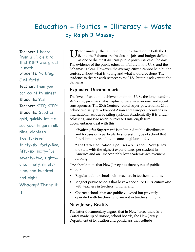## Education + Politics = Illiteracy + Waste by Ralph J Massey

Teacher: I heard from a li'l ole bird that KIPP was great in math. Students: No brag. Just facts! Teacher: Then you can count by nines? Students: Yes! Teacher: KIPP, KIPP! Students: Good as gold, quickly let me see your fingers roll. Nine, eighteen, twenty-seven, thirty-six, forty-five, fifty-six, sixty-five, seventy-two, eightyone, ninety, ninetynine, one-hundred and eight. Whoomp! There it

is!

**I** infortunately...the failure of public education in both the U.<br>S. and the Bahamas ranks close to jobs and budget deficits S. and the Bahamas ranks close to jobs and budget deficits as one of the most difficult public policy issues of the day. The evidence of the public education failure in the U. S. and the Bahamas is clear. However, the average citizen cannot help but be confused about what is wrong and what should be done. The evidence is clearer with respect to the U.S.; but it is relevant to the Bahamas.

#### **Explosive Documentaries**

The level of academic achievement in the U. S., the long-standing *status quo*, promises catastrophic long-term economic and social consequences. The 20th Century world super-power ranks 24th behind virtually all advanced Asian and European countries in international academic rating systems. Academically it is underachieving; and two recently released full-length film documentaries deal with this.

**"Waiting for Superman"** is in limited public distribution; and focuses on a particularly successful type of school that flourishes in urban low-income neighborhoods.

**"The Cartel: education + politics = \$"** is about New Jersey, the state with the highest expenditures per student in America and an unacceptably low academic achievement ranking.

One should note that New Jersey has three types of public schools:

- •Regular public schools with teachers in teachers' unions,
- • Magnet public schools that have a specialized curriculum also with teachers in teachers' unions, and
- • Charter schools that are publicly owned but privately operated with teachers who are not in teachers' unions.

#### **New Jersey Reality**

The latter documentary argues that in New Jersey there is a **Cartel** made up of unions, school boards, the New Jersey Department of Education and politicians that collude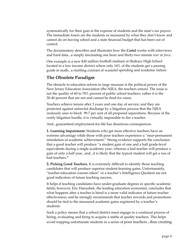systematically for their gain at the expense of students and the state's tax payers. The immediate losers are the students as measured by what they don't know and cannot do on leaving school and a state financial budget that has been out of control.

The documentary describes and illustrates how the **Cartel** works with interviews and hard data...a simply fascinating one hour and thirty-two minute *tour de force*.

One example is a new \$30 million football stadium at Shabazz High School located in a low income district where only 14% of the students get a passing grade in math...a startling contrast of wasteful spending and academic failure.

#### **The Obsolete Paradigm**

The obstacle to education reform in large measure is the political power of the New Jersey Education Association (the NJEA, the teachers union). The issue is not the quality of 60 to 70% percent of public school teachers; rather it is the 30-40 percent that are not and cannot be fired for cause.

Teachers achieve tenure after 3 years and one day of service; and they are protected against unlawful discharge by a litigation process that the NJEA zealously uses to block 99.7 per cent of all proposed separations. Because of the costly litigation hurdle, it is virtually impossible to fire a teacher.

And...guaranteed employment-for-life has disastrous consequences:

**1. Learning Impairment.** Students who get more effective teachers have an extreme advantage while those with poor teachers experience a "near-permanent retardation of academic achievement." Strong evidence supports the conclusion that a good teacher will produce "a student gain of one and a half grade-level equivalents during a single academic year; whereas a bad teacher will produce a gain of only a half year...and...it is likely that the typical student will get a run of bad teachers.**"**

**2. Picking Good Teachers.** It is extremely difficult to identify those teaching candidates that will produce superior student-learning gains. Unfortunately, "teacher-education courses taken" or a teacher's Intelligence Quotient are not good indicators of future teaching success.

It helps if teaching candidates have under-graduate degrees in specific academic fields; however, Eric Hanushek, the leading education economist, concludes that what happens after a teacher is hired is a more valid indicator of future teacher effectiveness; and he strongly recommends that teacher rewards and promotions should be tied to the measured academic gains registered by a teacher's students.

Such a policy means that a school district must engage in a continual process of hiring, evaluating and firing to acquire a stable of quality teachers. This helps avoid trapping unfortunate students in a series of poor teachers...thus creating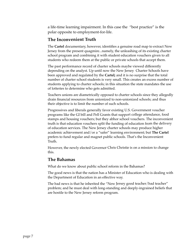a life-time learning impairment. In this case the "best practice" is the polar opposite to employment-for-life.

#### **The Inconvenient Truth**

The **Cartel** documentary, however, identifies a genuine road map to extract New Jersey from the present quagmire...namely, the unleashing of its existing charter school program and combining it with student education vouchers given to all students who redeem them at the public or private schools that accept them.

The past performance record of charter schools maybe viewed differently depending on the analyst. Up until now the New Jersey Charter Schools have been approved and regulated by the **Cartel;** and it is no surprise that the total number of charter school students is very small. This creates an excess number of students applying to charter schools; in this situation the state mandates the use of lotteries to determine who gets admitted.

Teachers unions are diametrically opposed to charter schools since they allegedly drain financial resources from unionized to non-unionized schools; and thus their objective is to limit the number of such schools.

Progressives and liberals generally favor existing U.S. Government voucher programs like the GI bill and Pell Grants that support college attendance, food stamps and housing vouchers; but they abhor school vouchers. The inconvenient truth is that education vouchers split the funding of education from the delivery of education services. The New Jersey charter schools may produce higher academic achievement and/or a "safer" learning environment; but **The Cartel** prefers to fund regular and magnet public schools. That's the Inconvenient Truth.

However, the newly elected Governor Chris Christie is on a mission to change this.

#### **The Bahamas**

What do we know about public school reform in the Bahamas?

The good news is that the nation has a Minister of Education who is dealing with the Department of Education in an effective way.

The bad news is that he inherited the "New Jersey good teacher/bad teacher" problem; and he must deal with long-standing and deeply-ingrained beliefs that are hostile to the New Jersey reform program.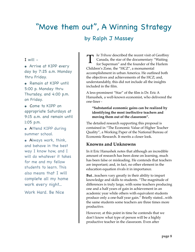# "Move them out", A Winning Strategy by Ralph J Massey

I will  $-$ 

**•** Arrive at KIPP every day by 7:25 a.m. Monday thru Friday.

**•** Remain at KIPP until 5:00 p. Monday thru Thursday, and 4:00 p.m. on Friday.

**•** Come to KIPP on appropriate Saturdays at 9:15 a.m. and remain until 1:05 p.m.

**•** Attend KIPP during summer school.

**•** Always work, think, and behave in the best way I know how, and I will do whatever it takes for me and my fellow students to learn. This also means that I will complete all my home work every night...

Work Hard. Be Nice

*he Tribune* described the recent visit of Geoffrey<br>Canada, the star of the documentary "Waiting<br>for Superman" and the founder of the Harlem Canada, the star of the documentary "Waiting for Superman" and the founder of the Harlem Children's Zone, the "HCZ", a monumental accomplishment in urban America. He outlined both the objectives and achievements of the HCZ; and, understandably, this did not include all the insights included in the film.

A less-prominent "Star" of the film is Dr. Eric A Hanushek, a well-known economist, who delivered the one-liner -

**"Substantial economic gains can be realized by identifying the most ineffective teachers and moving them out of the classroom".**

The detailed research supporting this proposal is contained in "The Economic Value of Higher Teacher Quality", a Working Paper of the National Bureau of Economic Research. It merits a closer look.

#### **Knowns and Unknowns**

In it Eric Hanushek notes that although an incredible amount of research has been done on learning, much has been false or misleading. He contends that teachers are important; and, in fact, no other element in the education equation rivals it in importance.

**But**...teachers vary greatly in their ability to impart knowledge and skills to students. "The magnitude of differences is truly large, with some teachers producing one and a half years of gain in achievement in an academic year while others with equivalent students produce only a one-half year gain." Briefly stated...with the same students some teachers are three times more productive.

However, at this point in time he contends that we don't know what type of person will be a highly productive teacher in the classroom. Even after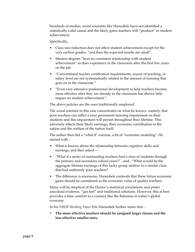hundreds of studies, social scientists like Hanushek have not identified a statistically valid causal and the likely gains teachers will "produce" in student achievement.

Specifically...

- Class size reduction does not affect student achievement except for the very earliest grades, "and then the expected results are small".
- Masters degrees "bear no consistent relationship with student achievement" as does experience in the classroom after the first few years on the job.
- "Conventional teacher certification requirements, source of teaching, or salary level are not systematically related to the amount of learning that goes on in the classroom."
- "Even very intensive professional development to help teachers become more effective after they are already in the classroom has shown little impact on student achievement."

The above policies are the ones traditionally employed.

The social scientist in this case concentrates on what he knows...namely, that poor teachers can inflict a near permanent learning impairment on their students and this impairment will persist throughout their lifetime. This adversely affects their likely earnings, their economic contribution to the nation and the welfare of the nation itself.

The author then did a "what if" exercise, a bit of "economic modeling". He started with -

- What is known about the relationship between cognitive skills and earnings; and then asked ---
- "What if a series of outstanding teachers had a class of students through the primary and secondary school years?"...and..."What would be the aggregate lifetime earnings of this lucky group relative to a similar class that had uniformly poor teachers?
- The difference is enormous. Hanushek contends that these future economic gains should be considered as the economic value of quality teachers.

Many will be skeptical of the Doctor's statistical correlations and prefer anecdotal evidence, "gut feel" and traditional solutions. However, this at best provides a false comfort to a country like the Bahamas in today's global economy.

In his *NBER Working Paper* Eric Hanushek further states that -

**• The more effective teachers should be assigned larger classes and the less effective smaller ones.**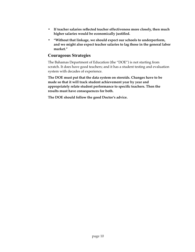- **• If teacher salaries reflected teacher effectiveness more closely, then much higher salaries would be economically justified.**
- **• "Without that linkage, we should expect our schools to underperform, and we might also expect teacher salaries to lag those in the general labor market."**

#### **Courageous Strategies**

The Bahamas Department of Education (the "DOE") is not starting from scratch. It does have good teachers; and it has a student testing and evaluation system with decades of experience.

**The DOE must put that the data system on steroids. Changes have to be made so that it will track student achievement year by year and appropriately relate student performance to specific teachers. Then the results must have consequences for both.**

**The DOE should follow the good Doctor's advice.**